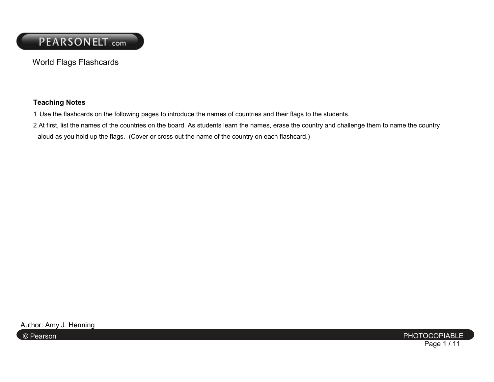World Flags Flashcards

#### **Teaching Notes**

- 1 Use the flashcards on the following pages to introduce the names of countries and their flags to the students.
- 2 At first, list the names of the countries on the board. As students learn the names, erase the country and challenge them to name the country aloud as you hold up the flags. (Cover or cross out the name of the country on each flashcard.)

PHOTOCOPIABLE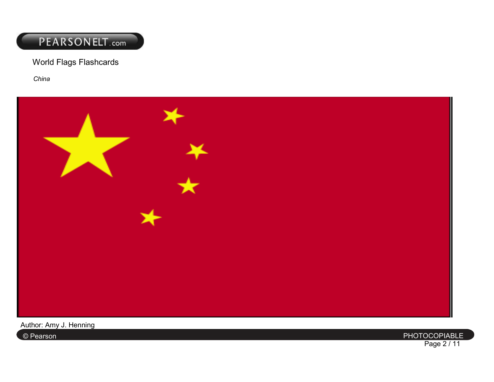### World Flags Flashcards

*China* 



PHOTOCOPIABLE

Author: Amy J. Henning

© Pearson PHOTOCOPIABLE Page 2 / 11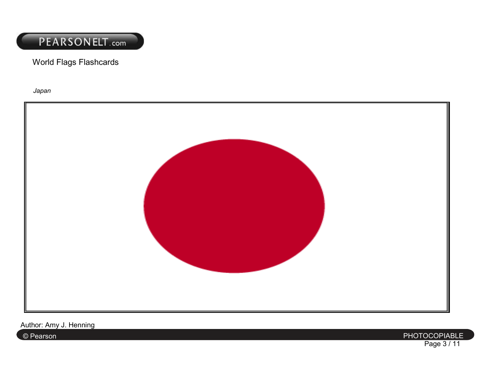World Flags Flashcards

*Japan* 



PHOTOCOPIABLE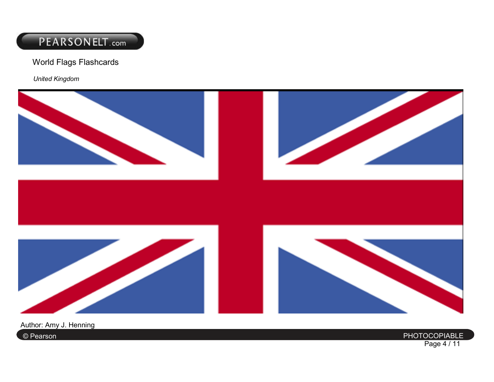World Flags Flashcards

*United Kingdom* 



PHOTOCOPIABLE

Author: Amy J. Henning

© Pearson PHOTOCOPIABLE Page 4 / 11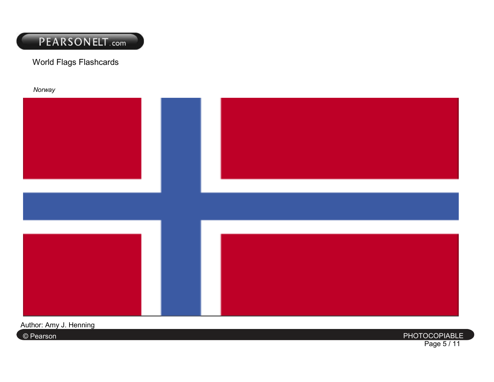

World Flags Flashcards

*Norway* 

PHOTOCOPIABLE

Author: Amy J. Henning

© Pearson PHOTOCOPIABLE Page 5 / 11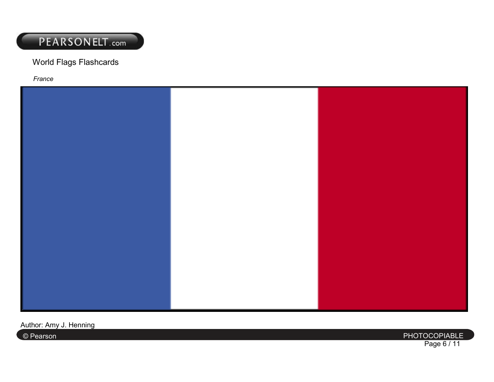#### World Flags Flashcards

*France* 



PHOTOCOPIABLE

Author: Amy J. Henning

© Pearson PHOTOCOPIABLE Page 6 / 11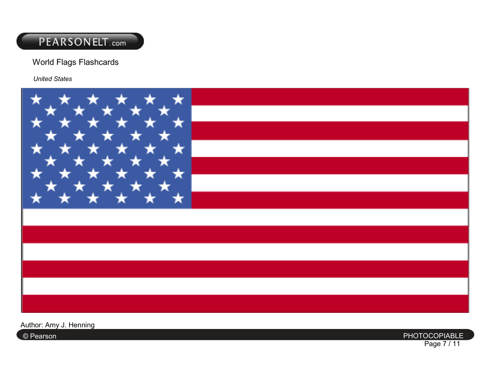#### World Flags Flashcards

*United States* 



PHOTOCOPIABLE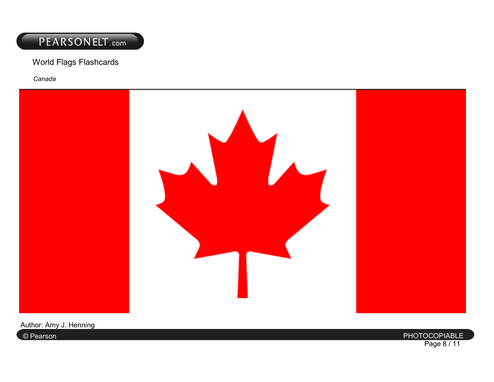#### World Flags Flashcards

*Canada* 



PHOTOCOPIABLE

Author: Amy J. Henning

© Pearson PHOTOCOPIABLE Page 8 / 11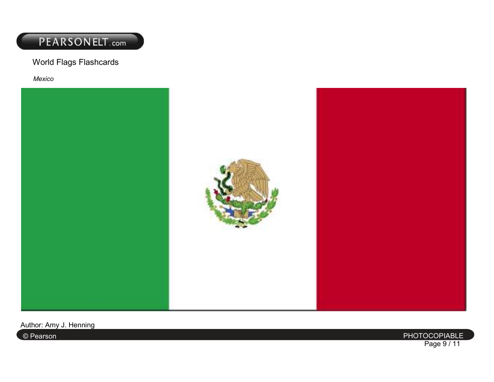World Flags Flashcards

*Mexico* 



PHOTOCOPIABLE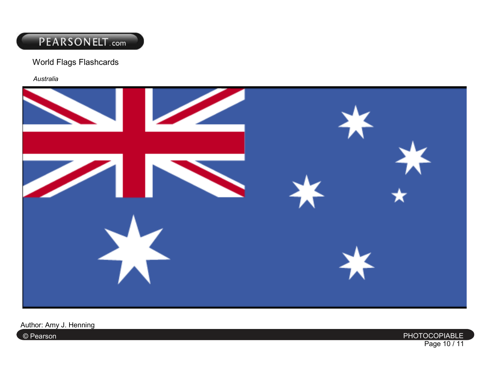#### World Flags Flashcards

*Australia* 



PHOTOCOPIABLE

Author: Amy J. Henning

© Pearson PHOTOCOPIABLE Page 10 / 11